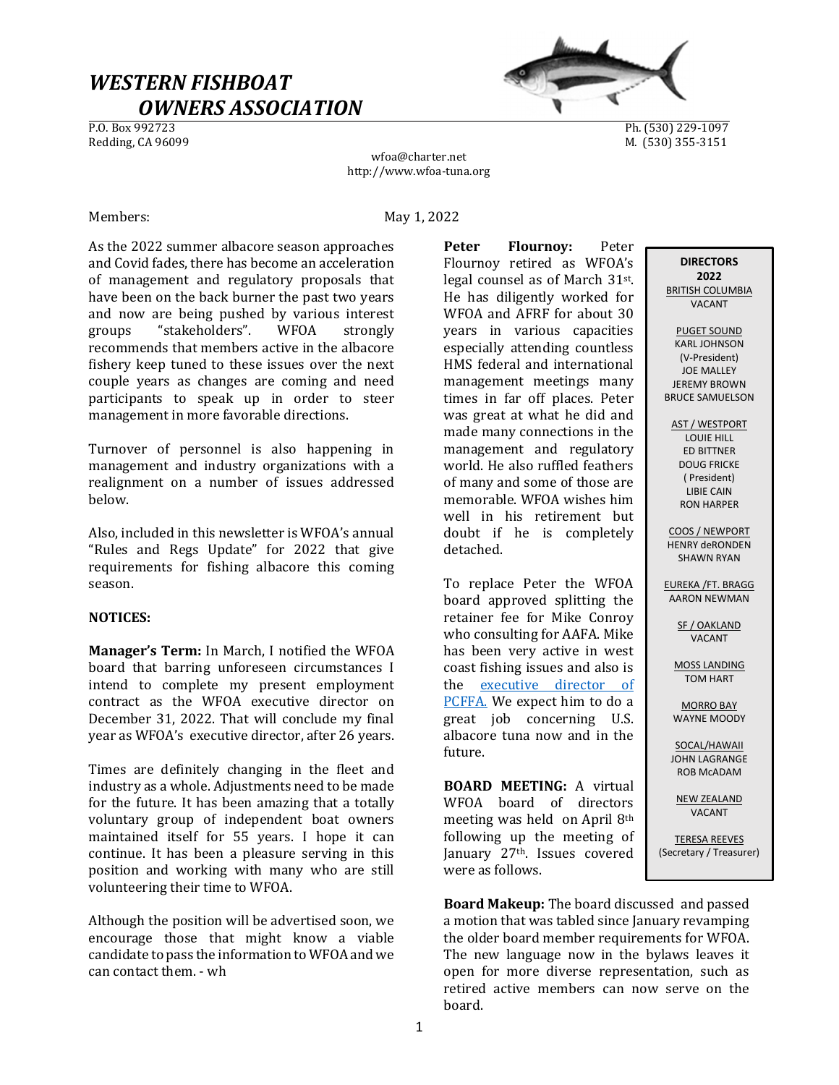# WESTERN FISHBOAT  $OWNERS ASSOCIATION$ </u>



Ph. (530) 229-1097 Redding, CA 96099 M. (530) 355-3151

wfoa@charter.net http://www.wfoa-tuna.org

Members: May 1, 2022

As the 2022 summer albacore season approaches and Covid fades, there has become an acceleration of management and regulatory proposals that have been on the back burner the past two years and now are being pushed by various interest groups "stakeholders". WFOA strongly recommends that members active in the albacore fishery keep tuned to these issues over the next couple years as changes are coming and need participants to speak up in order to steer management in more favorable directions.

Turnover of personnel is also happening in management and industry organizations with a realignment on a number of issues addressed below.

Also, included in this newsletter is WFOA's annual "Rules and Regs Update" for 2022 that give requirements for fishing albacore this coming season.

# NOTICES:

Manager's Term: In March, I notified the WFOA board that barring unforeseen circumstances I intend to complete my present employment contract as the WFOA executive director on December 31, 2022. That will conclude my final year as WFOA's executive director, after 26 years.

Times are definitely changing in the fleet and industry as a whole. Adjustments need to be made for the future. It has been amazing that a totally voluntary group of independent boat owners maintained itself for 55 years. I hope it can continue. It has been a pleasure serving in this position and working with many who are still volunteering their time to WFOA.

Although the position will be advertised soon, we encourage those that might know a viable candidate to pass the information to WFOA and we can contact them. - wh

Peter Flournov: Peter Flournoy retired as WFOA's legal counsel as of March 31st. He has diligently worked for WFOA and AFRF for about 30 years in various capacities especially attending countless HMS federal and international management meetings many times in far off places. Peter was great at what he did and made many connections in the management and regulatory world. He also ruffled feathers of many and some of those are memorable. WFOA wishes him well in his retirement but doubt if he is completely detached.

To replace Peter the WFOA board approved splitting the retainer fee for Mike Conroy who consulting for AAFA. Mike has been very active in west coast fishing issues and also is the executive director of PCFFA. We expect him to do a great job concerning U.S. albacore tuna now and in the future.

BOARD MEETING: A virtual WFOA board of directors meeting was held on April 8th following up the meeting of January 27th. Issues covered were as follows.

Board Makeup: The board discussed and passed a motion that was tabled since January revamping the older board member requirements for WFOA. The new language now in the bylaws leaves it open for more diverse representation, such as retired active members can now serve on the board.

PUGET SOUND KARL JOHNSON (V-President) JOE MALLEY JEREMY BROWN

**DIRECTORS** 2022 BRITISH COLUMBIA VACANT

AST / WESTPORT LOUIE HILL ED BITTNER DOUG FRICKE ( President) LIBIE CAIN RON HARPER

BRUCE SAMUELSON

COOS / NEWPORT HENRY deRONDEN SHAWN RYAN

EUREKA /FT. BRAGG AARON NEWMAN

> SF / OAKLAND VACANT

MOSS LANDING TOM HART

MORRO BAY WAYNE MOODY

SOCAL/HAWAII JOHN LAGRANGE ROB McADAM

NEW ZEALAND VACANT

TERESA REEVES (Secretary / Treasurer)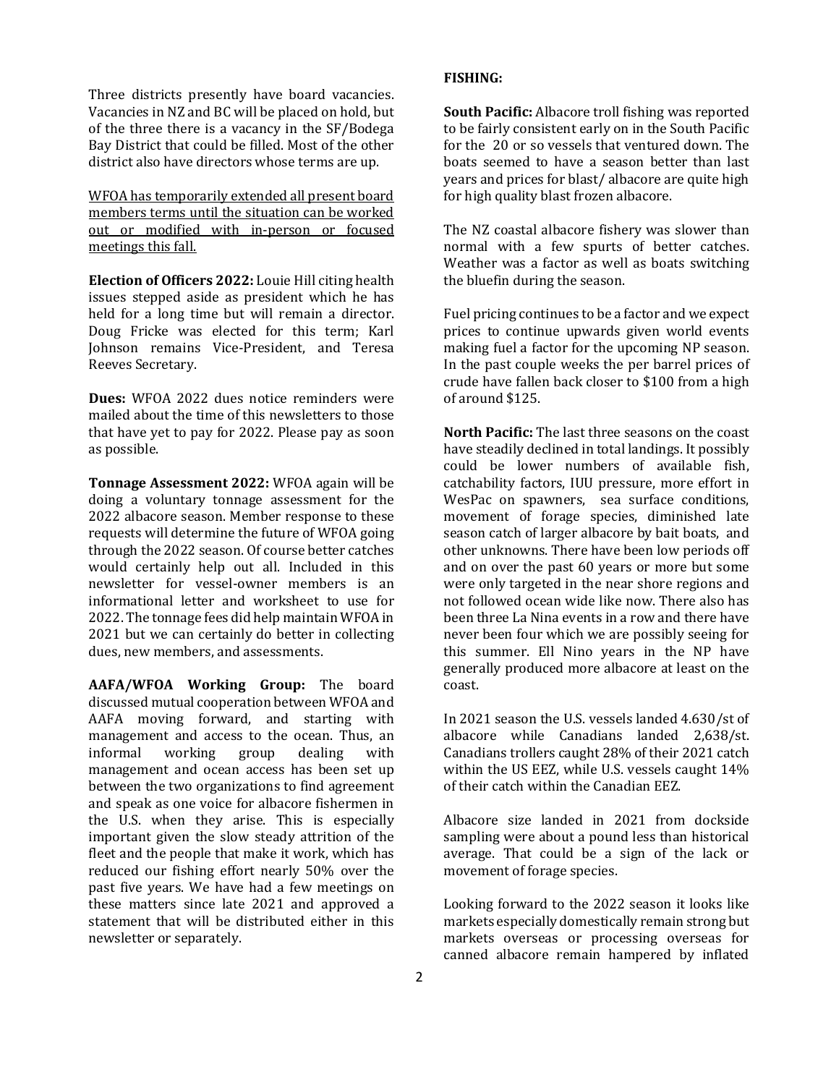Three districts presently have board vacancies. Vacancies in NZ and BC will be placed on hold, but of the three there is a vacancy in the SF/Bodega Bay District that could be filled. Most of the other district also have directors whose terms are up.

WFOA has temporarily extended all present board members terms until the situation can be worked out or modified with in-person or focused meetings this fall.

Election of Officers 2022: Louie Hill citing health issues stepped aside as president which he has held for a long time but will remain a director. Doug Fricke was elected for this term; Karl Johnson remains Vice-President, and Teresa Reeves Secretary.

Dues: WFOA 2022 dues notice reminders were mailed about the time of this newsletters to those that have yet to pay for 2022. Please pay as soon as possible.

Tonnage Assessment 2022: WFOA again will be doing a voluntary tonnage assessment for the 2022 albacore season. Member response to these requests will determine the future of WFOA going through the 2022 season. Of course better catches would certainly help out all. Included in this newsletter for vessel-owner members is an informational letter and worksheet to use for 2022. The tonnage fees did help maintain WFOA in 2021 but we can certainly do better in collecting dues, new members, and assessments.

AAFA/WFOA Working Group: The board discussed mutual cooperation between WFOA and AAFA moving forward, and starting with management and access to the ocean. Thus, an informal working group dealing with management and ocean access has been set up between the two organizations to find agreement and speak as one voice for albacore fishermen in the U.S. when they arise. This is especially important given the slow steady attrition of the fleet and the people that make it work, which has reduced our fishing effort nearly 50% over the past five years. We have had a few meetings on these matters since late 2021 and approved a statement that will be distributed either in this newsletter or separately.

### FISHING:

South Pacific: Albacore troll fishing was reported to be fairly consistent early on in the South Pacific for the 20 or so vessels that ventured down. The boats seemed to have a season better than last years and prices for blast/ albacore are quite high for high quality blast frozen albacore.

The NZ coastal albacore fishery was slower than normal with a few spurts of better catches. Weather was a factor as well as boats switching the bluefin during the season.

Fuel pricing continues to be a factor and we expect prices to continue upwards given world events making fuel a factor for the upcoming NP season. In the past couple weeks the per barrel prices of crude have fallen back closer to \$100 from a high of around \$125.

North Pacific: The last three seasons on the coast have steadily declined in total landings. It possibly could be lower numbers of available fish, catchability factors, IUU pressure, more effort in WesPac on spawners, sea surface conditions, movement of forage species, diminished late season catch of larger albacore by bait boats, and other unknowns. There have been low periods off and on over the past 60 years or more but some were only targeted in the near shore regions and not followed ocean wide like now. There also has been three La Nina events in a row and there have never been four which we are possibly seeing for this summer. Ell Nino years in the NP have generally produced more albacore at least on the coast.

In 2021 season the U.S. vessels landed 4.630/st of albacore while Canadians landed 2,638/st. Canadians trollers caught 28% of their 2021 catch within the US EEZ, while U.S. vessels caught 14% of their catch within the Canadian EEZ.

Albacore size landed in 2021 from dockside sampling were about a pound less than historical average. That could be a sign of the lack or movement of forage species.

Looking forward to the 2022 season it looks like markets especially domestically remain strong but markets overseas or processing overseas for canned albacore remain hampered by inflated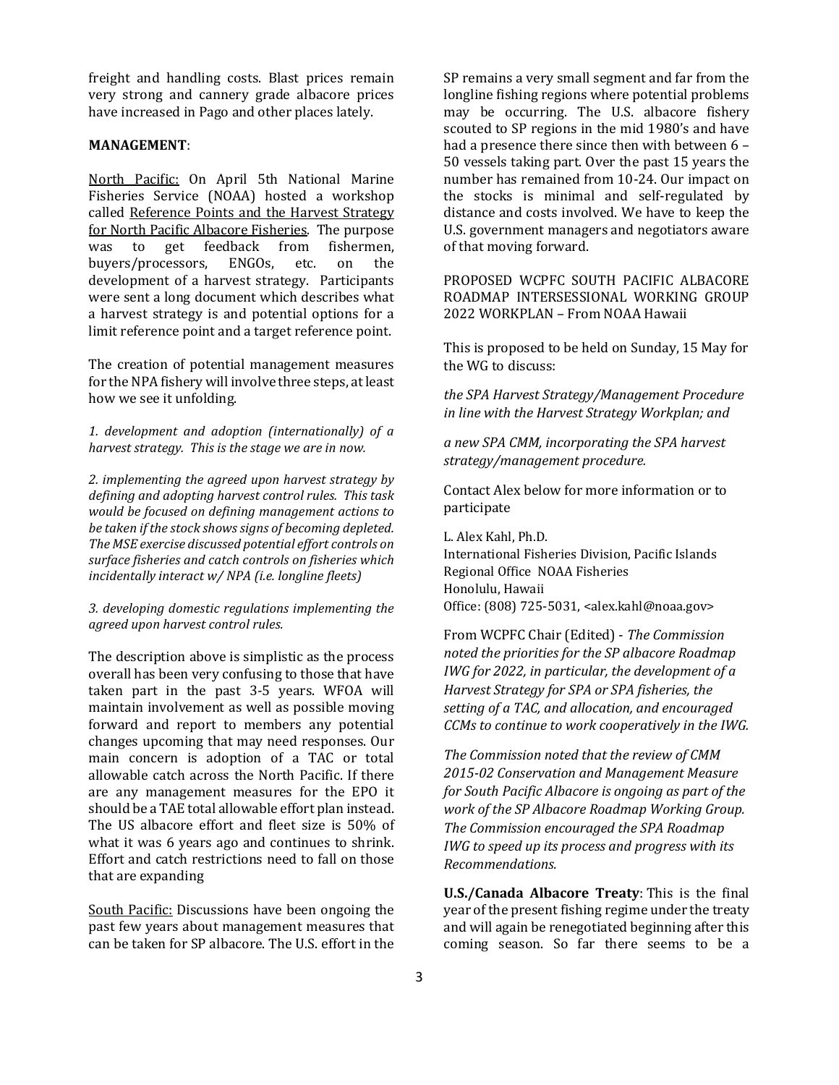freight and handling costs. Blast prices remain very strong and cannery grade albacore prices have increased in Pago and other places lately.

#### MANAGEMENT:

North Pacific: On April 5th National Marine Fisheries Service (NOAA) hosted a workshop called Reference Points and the Harvest Strategy for North Pacific Albacore Fisheries. The purpose was to get feedback from fishermen, buyers/processors, ENGOs, etc. on the development of a harvest strategy. Participants were sent a long document which describes what a harvest strategy is and potential options for a limit reference point and a target reference point.

The creation of potential management measures for the NPA fishery will involve three steps, at least how we see it unfolding.

1. development and adoption (internationally) of a harvest strategy. This is the stage we are in now.

2. implementing the agreed upon harvest strategy by defining and adopting harvest control rules. This task would be focused on defining management actions to be taken if the stock shows signs of becoming depleted. The MSE exercise discussed potential effort controls on surface fisheries and catch controls on fisheries which incidentally interact w/ NPA (i.e. longline fleets)

3. developing domestic regulations implementing the agreed upon harvest control rules.

The description above is simplistic as the process overall has been very confusing to those that have taken part in the past 3-5 years. WFOA will maintain involvement as well as possible moving forward and report to members any potential changes upcoming that may need responses. Our main concern is adoption of a TAC or total allowable catch across the North Pacific. If there are any management measures for the EPO it should be a TAE total allowable effort plan instead. The US albacore effort and fleet size is 50% of what it was 6 years ago and continues to shrink. Effort and catch restrictions need to fall on those that are expanding

South Pacific: Discussions have been ongoing the past few years about management measures that can be taken for SP albacore. The U.S. effort in the SP remains a very small segment and far from the longline fishing regions where potential problems may be occurring. The U.S. albacore fishery scouted to SP regions in the mid 1980's and have had a presence there since then with between 6 – 50 vessels taking part. Over the past 15 years the number has remained from 10-24. Our impact on the stocks is minimal and self-regulated by distance and costs involved. We have to keep the U.S. government managers and negotiators aware of that moving forward.

PROPOSED WCPFC SOUTH PACIFIC ALBACORE ROADMAP INTERSESSIONAL WORKING GROUP 2022 WORKPLAN – From NOAA Hawaii

This is proposed to be held on Sunday, 15 May for the WG to discuss:

the SPA Harvest Strategy/Management Procedure in line with the Harvest Strategy Workplan; and

a new SPA CMM, incorporating the SPA harvest strategy/management procedure.

Contact Alex below for more information or to participate

L. Alex Kahl, Ph.D. International Fisheries Division, Pacific Islands Regional Office NOAA Fisheries Honolulu, Hawaii Office: (808) 725-5031, <alex.kahl@noaa.gov>

From WCPFC Chair (Edited) - The Commission noted the priorities for the SP albacore Roadmap IWG for 2022, in particular, the development of a Harvest Strategy for SPA or SPA fisheries, the setting of a TAC, and allocation, and encouraged CCMs to continue to work cooperatively in the IWG.

The Commission noted that the review of CMM 2015-02 Conservation and Management Measure for South Pacific Albacore is ongoing as part of the work of the SP Albacore Roadmap Working Group. The Commission encouraged the SPA Roadmap IWG to speed up its process and progress with its Recommendations.

U.S./Canada Albacore Treaty: This is the final year of the present fishing regime under the treaty and will again be renegotiated beginning after this coming season. So far there seems to be a